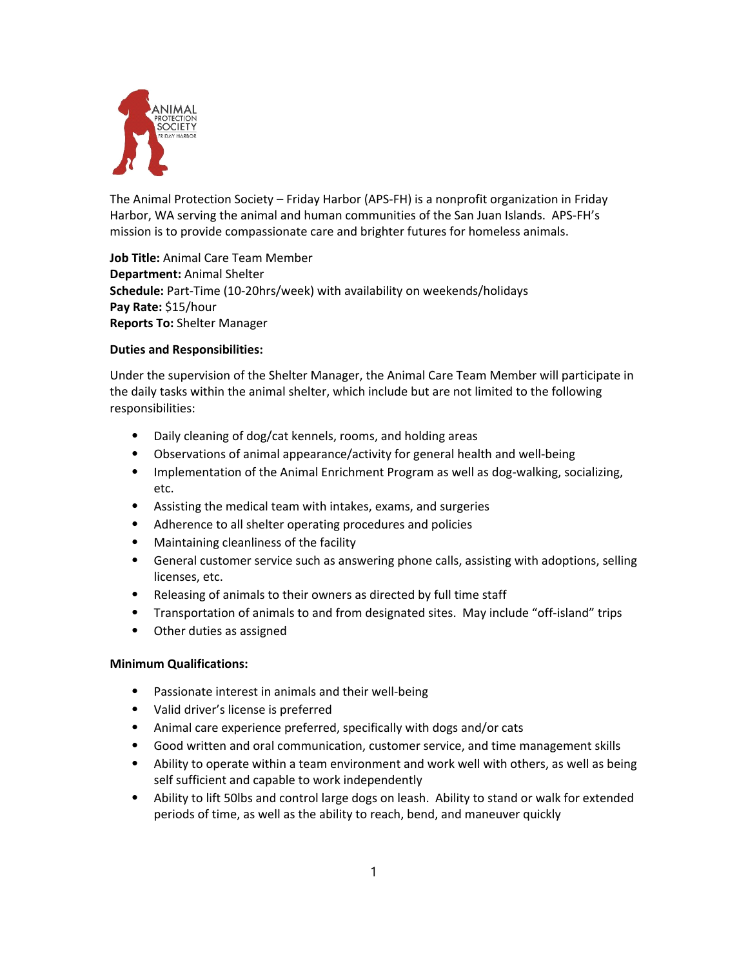

The Animal Protection Society – Friday Harbor (APS‐FH) is a nonprofit organization in Friday Harbor, WA serving the animal and human communities of the San Juan Islands. APS‐FH's mission is to provide compassionate care and brighter futures for homeless animals.

**Job Title:** Animal Care Team Member **Department:** Animal Shelter **Schedule:** Part‐Time (10‐20hrs/week) with availability on weekends/holidays **Pay Rate:** \$15/hour **Reports To:** Shelter Manager

## **Duties and Responsibilities:**

Under the supervision of the Shelter Manager, the Animal Care Team Member will participate in the daily tasks within the animal shelter, which include but are not limited to the following responsibilities:

- ⦁ Daily cleaning of dog/cat kennels, rooms, and holding areas
- Observations of animal appearance/activity for general health and well-being
- Implementation of the Animal Enrichment Program as well as dog-walking, socializing, etc.
- ⦁ Assisting the medical team with intakes, exams, and surgeries
- ⦁ Adherence to all shelter operating procedures and policies
- ⦁ Maintaining cleanliness of the facility
- ⦁ General customer service such as answering phone calls, assisting with adoptions, selling licenses, etc.
- ⦁ Releasing of animals to their owners as directed by full time staff
- ⦁ Transportation of animals to and from designated sites. May include "off‐island" trips
- ⦁ Other duties as assigned

## **Minimum Qualifications:**

- ⦁ Passionate interest in animals and their well‐being
- ⦁ Valid driver's license is preferred
- ⦁ Animal care experience preferred, specifically with dogs and/or cats
- ⦁ Good written and oral communication, customer service, and time management skills
- ⦁ Ability to operate within a team environment and work well with others, as well as being self sufficient and capable to work independently
- ⦁ Ability to lift 50lbs and control large dogs on leash. Ability to stand or walk for extended periods of time, as well as the ability to reach, bend, and maneuver quickly